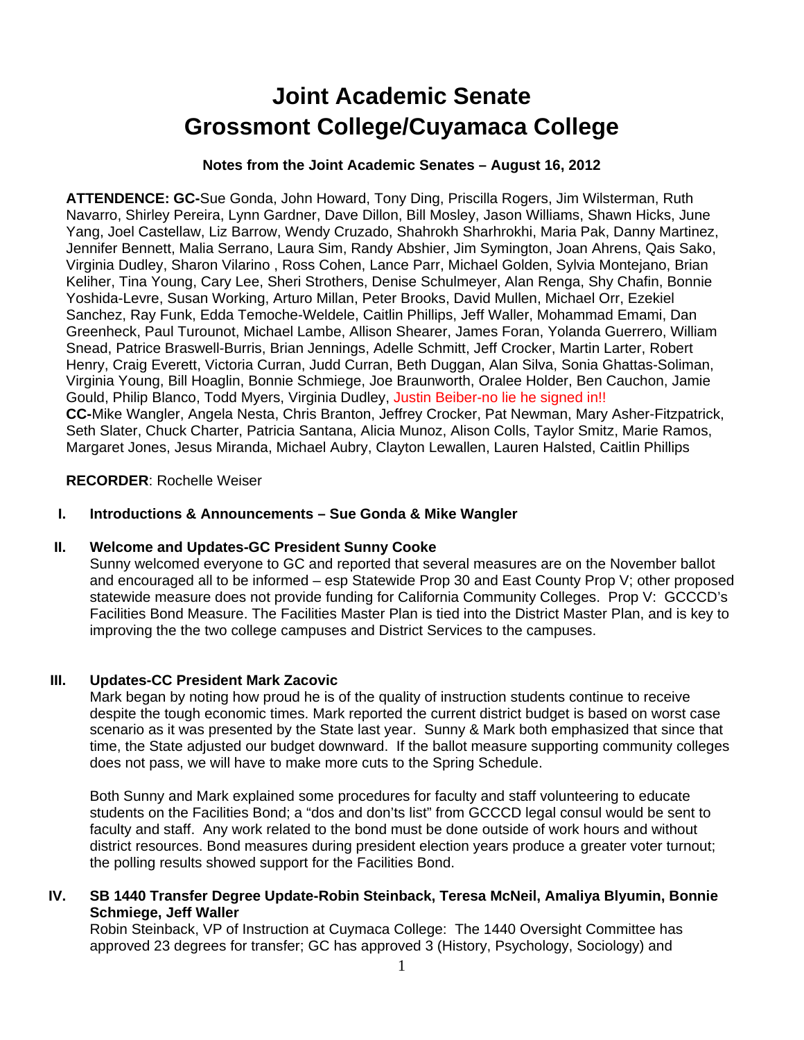# **Joint Academic Senate Grossmont College/Cuyamaca College**

## **Notes from the Joint Academic Senates – August 16, 2012**

**ATTENDENCE: GC-**Sue Gonda, John Howard, Tony Ding, Priscilla Rogers, Jim Wilsterman, Ruth Navarro, Shirley Pereira, Lynn Gardner, Dave Dillon, Bill Mosley, Jason Williams, Shawn Hicks, June Yang, Joel Castellaw, Liz Barrow, Wendy Cruzado, Shahrokh Sharhrokhi, Maria Pak, Danny Martinez, Jennifer Bennett, Malia Serrano, Laura Sim, Randy Abshier, Jim Symington, Joan Ahrens, Qais Sako, Virginia Dudley, Sharon Vilarino , Ross Cohen, Lance Parr, Michael Golden, Sylvia Montejano, Brian Keliher, Tina Young, Cary Lee, Sheri Strothers, Denise Schulmeyer, Alan Renga, Shy Chafin, Bonnie Yoshida-Levre, Susan Working, Arturo Millan, Peter Brooks, David Mullen, Michael Orr, Ezekiel Sanchez, Ray Funk, Edda Temoche-Weldele, Caitlin Phillips, Jeff Waller, Mohammad Emami, Dan Greenheck, Paul Turounot, Michael Lambe, Allison Shearer, James Foran, Yolanda Guerrero, William Snead, Patrice Braswell-Burris, Brian Jennings, Adelle Schmitt, Jeff Crocker, Martin Larter, Robert Henry, Craig Everett, Victoria Curran, Judd Curran, Beth Duggan, Alan Silva, Sonia Ghattas-Soliman, Virginia Young, Bill Hoaglin, Bonnie Schmiege, Joe Braunworth, Oralee Holder, Ben Cauchon, Jamie Gould, Philip Blanco, Todd Myers, Virginia Dudley, Justin Beiber-no lie he signed in!! **CC-**Mike Wangler, Angela Nesta, Chris Branton, Jeffrey Crocker, Pat Newman, Mary Asher-Fitzpatrick, Seth Slater, Chuck Charter, Patricia Santana, Alicia Munoz, Alison Colls, Taylor Smitz, Marie Ramos, Margaret Jones, Jesus Miranda, Michael Aubry, Clayton Lewallen, Lauren Halsted, Caitlin Phillips

#### **RECORDER**: Rochelle Weiser

## **I. Introductions & Announcements – Sue Gonda & Mike Wangler**

#### **II. Welcome and Updates-GC President Sunny Cooke**

Sunny welcomed everyone to GC and reported that several measures are on the November ballot and encouraged all to be informed – esp Statewide Prop 30 and East County Prop V; other proposed statewide measure does not provide funding for California Community Colleges. Prop V: GCCCD's Facilities Bond Measure. The Facilities Master Plan is tied into the District Master Plan, and is key to improving the the two college campuses and District Services to the campuses.

#### **III. Updates-CC President Mark Zacovic**

Mark began by noting how proud he is of the quality of instruction students continue to receive despite the tough economic times. Mark reported the current district budget is based on worst case scenario as it was presented by the State last year. Sunny & Mark both emphasized that since that time, the State adjusted our budget downward. If the ballot measure supporting community colleges does not pass, we will have to make more cuts to the Spring Schedule.

Both Sunny and Mark explained some procedures for faculty and staff volunteering to educate students on the Facilities Bond; a "dos and don'ts list" from GCCCD legal consul would be sent to faculty and staff. Any work related to the bond must be done outside of work hours and without district resources. Bond measures during president election years produce a greater voter turnout; the polling results showed support for the Facilities Bond.

# **IV. SB 1440 Transfer Degree Update-Robin Steinback, Teresa McNeil, Amaliya Blyumin, Bonnie Schmiege, Jeff Waller**

Robin Steinback, VP of Instruction at Cuymaca College: The 1440 Oversight Committee has approved 23 degrees for transfer; GC has approved 3 (History, Psychology, Sociology) and